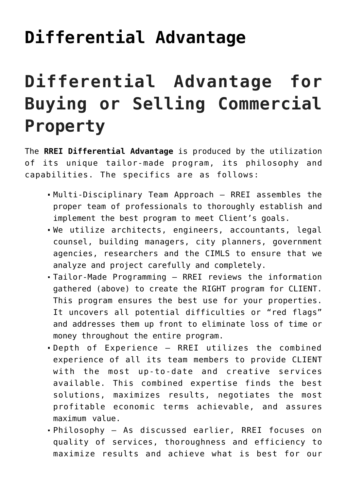## **[Differential Advantage](https://resultsrealestateinc.com/differential-advantage/)**

## **Differential Advantage for Buying or Selling Commercial Property**

The **RREI Differential Advantage** is produced by the utilization of its unique tailor-made program, its philosophy and capabilities. The specifics are as follows:

- Multi-Disciplinary Team Approach RREI assembles the proper team of professionals to thoroughly establish and implement the best program to meet Client's goals.
- We utilize architects, engineers, accountants, legal counsel, building managers, city planners, government agencies, researchers and the CIMLS to ensure that we analyze and project carefully and completely.
- Tailor-Made Programming RREI reviews the information gathered (above) to create the RIGHT program for CLIENT. This program ensures the best use for your properties. It uncovers all potential difficulties or "red flags" and addresses them up front to eliminate loss of time or money throughout the entire program.
- Depth of Experience RREI utilizes the combined experience of all its team members to provide CLIENT with the most up-to-date and creative services available. This combined expertise finds the best solutions, maximizes results, negotiates the most profitable economic terms achievable, and assures maximum value.
- Philosophy As discussed earlier, RREI focuses on quality of services, thoroughness and efficiency to maximize results and achieve what is best for our